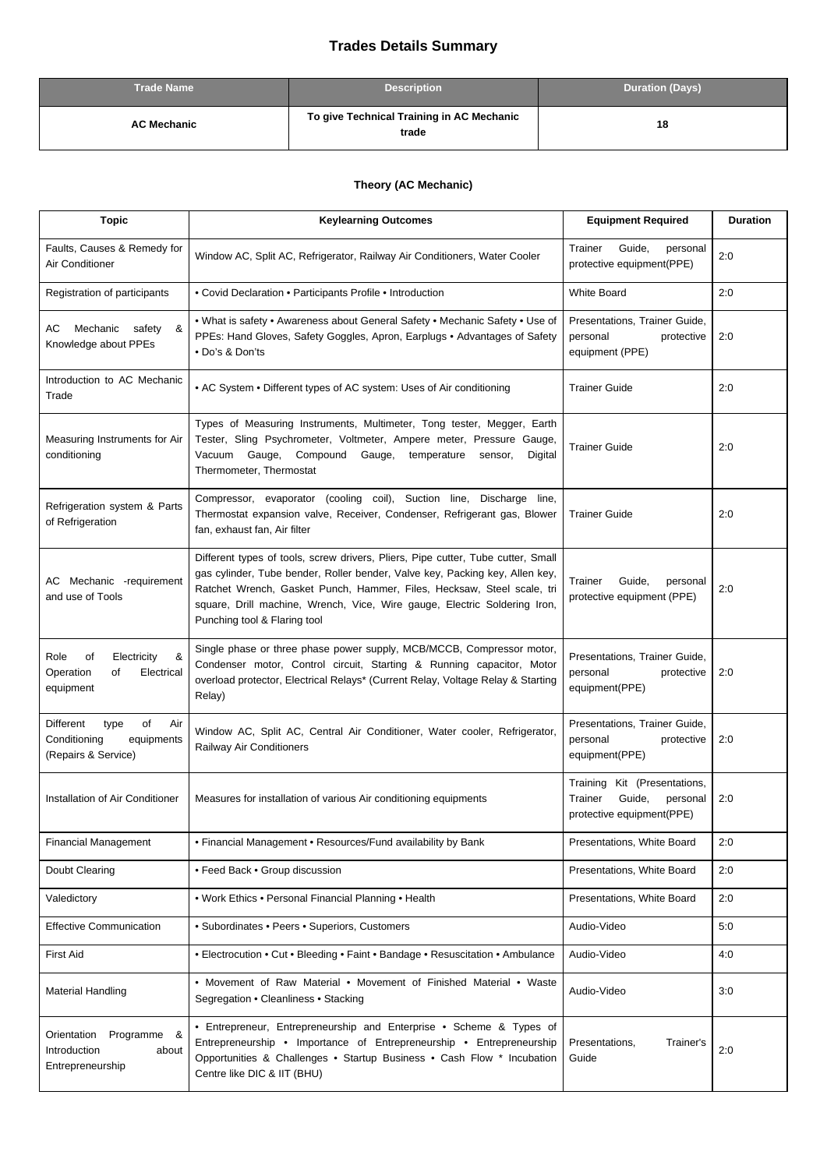## **Trades Details Summary**

| <b>Trade Name</b>  | <b>Description</b>                                 | <b>Duration (Days)</b> |
|--------------------|----------------------------------------------------|------------------------|
| <b>AC Mechanic</b> | To give Technical Training in AC Mechanic<br>trade | 18                     |

## **Theory (AC Mechanic)**

| <b>Topic</b>                                                                        | <b>Keylearning Outcomes</b>                                                                                                                                                                                                                                                                                                                             | <b>Equipment Required</b>                                                                  | <b>Duration</b> |
|-------------------------------------------------------------------------------------|---------------------------------------------------------------------------------------------------------------------------------------------------------------------------------------------------------------------------------------------------------------------------------------------------------------------------------------------------------|--------------------------------------------------------------------------------------------|-----------------|
| Faults, Causes & Remedy for<br>Air Conditioner                                      | Window AC, Split AC, Refrigerator, Railway Air Conditioners, Water Cooler                                                                                                                                                                                                                                                                               | Guide,<br>Trainer<br>personal<br>protective equipment(PPE)                                 | 2:0             |
| Registration of participants                                                        | • Covid Declaration • Participants Profile • Introduction                                                                                                                                                                                                                                                                                               | <b>White Board</b>                                                                         | 2:0             |
| AC<br>Mechanic<br>safety<br>&<br>Knowledge about PPEs                               | . What is safety . Awareness about General Safety . Mechanic Safety . Use of<br>PPEs: Hand Gloves, Safety Goggles, Apron, Earplugs . Advantages of Safety<br>• Do's & Don'ts                                                                                                                                                                            | Presentations, Trainer Guide,<br>personal<br>protective<br>equipment (PPE)                 | 2:0             |
| Introduction to AC Mechanic<br>Trade                                                | • AC System • Different types of AC system: Uses of Air conditioning                                                                                                                                                                                                                                                                                    | <b>Trainer Guide</b>                                                                       | 2:0             |
| Measuring Instruments for Air<br>conditioning                                       | Types of Measuring Instruments, Multimeter, Tong tester, Megger, Earth<br>Tester, Sling Psychrometer, Voltmeter, Ampere meter, Pressure Gauge,<br>Vacuum Gauge, Compound Gauge,<br>temperature<br>Digital<br>sensor,<br>Thermometer, Thermostat                                                                                                         | <b>Trainer Guide</b>                                                                       | 2:0             |
| Refrigeration system & Parts<br>of Refrigeration                                    | Compressor, evaporator (cooling coil), Suction line, Discharge line,<br>Thermostat expansion valve, Receiver, Condenser, Refrigerant gas, Blower<br>fan, exhaust fan, Air filter                                                                                                                                                                        | <b>Trainer Guide</b>                                                                       | 2:0             |
| AC Mechanic -requirement<br>and use of Tools                                        | Different types of tools, screw drivers, Pliers, Pipe cutter, Tube cutter, Small<br>gas cylinder, Tube bender, Roller bender, Valve key, Packing key, Allen key,<br>Ratchet Wrench, Gasket Punch, Hammer, Files, Hecksaw, Steel scale, tri<br>square, Drill machine, Wrench, Vice, Wire gauge, Electric Soldering Iron,<br>Punching tool & Flaring tool | Guide,<br>Trainer<br>personal<br>protective equipment (PPE)                                | 2:0             |
| Role<br>οf<br>Electricity<br>&<br>Operation<br>Electrical<br>of<br>equipment        | Single phase or three phase power supply, MCB/MCCB, Compressor motor,<br>Condenser motor, Control circuit, Starting & Running capacitor, Motor<br>overload protector, Electrical Relays* (Current Relay, Voltage Relay & Starting<br>Relay)                                                                                                             | Presentations, Trainer Guide,<br>personal<br>protective<br>equipment(PPE)                  | 2:0             |
| Different<br>type<br>οf<br>Air<br>Conditioning<br>equipments<br>(Repairs & Service) | Window AC, Split AC, Central Air Conditioner, Water cooler, Refrigerator,<br>Railway Air Conditioners                                                                                                                                                                                                                                                   | Presentations, Trainer Guide,<br>personal<br>protective<br>equipment(PPE)                  | 2:0             |
| Installation of Air Conditioner                                                     | Measures for installation of various Air conditioning equipments                                                                                                                                                                                                                                                                                        | Training Kit (Presentations,<br>Trainer<br>Guide,<br>personal<br>protective equipment(PPE) | 2:0             |
| <b>Financial Management</b>                                                         | • Financial Management • Resources/Fund availability by Bank                                                                                                                                                                                                                                                                                            | Presentations, White Board                                                                 | 2:0             |
| Doubt Clearing                                                                      | • Feed Back • Group discussion                                                                                                                                                                                                                                                                                                                          | Presentations, White Board                                                                 | 2:0             |
| Valedictory                                                                         | • Work Ethics • Personal Financial Planning • Health                                                                                                                                                                                                                                                                                                    | Presentations, White Board                                                                 | 2:0             |
| <b>Effective Communication</b>                                                      | • Subordinates • Peers • Superiors, Customers                                                                                                                                                                                                                                                                                                           | Audio-Video                                                                                | 5:0             |
| <b>First Aid</b>                                                                    | • Electrocution • Cut • Bleeding • Faint • Bandage • Resuscitation • Ambulance                                                                                                                                                                                                                                                                          | Audio-Video                                                                                | 4:0             |
| <b>Material Handling</b>                                                            | • Movement of Raw Material • Movement of Finished Material • Waste<br>Segregation . Cleanliness . Stacking                                                                                                                                                                                                                                              | Audio-Video                                                                                | 3:0             |
| Orientation<br>Programme &<br>Introduction<br>about<br>Entrepreneurship             | • Entrepreneur, Entrepreneurship and Enterprise • Scheme & Types of<br>Entrepreneurship • Importance of Entrepreneurship • Entrepreneurship<br>Opportunities & Challenges . Startup Business . Cash Flow * Incubation<br>Centre like DIC & IIT (BHU)                                                                                                    | Presentations,<br>Trainer's<br>Guide                                                       | 2:0             |